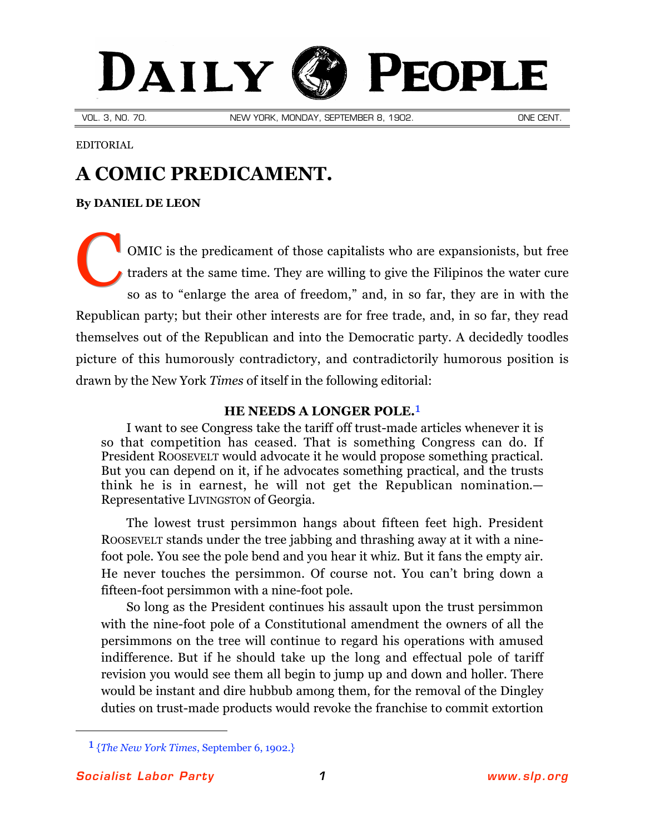# DAILY PEOPLE

VOL. 3, NO. 70. NEW YORK, MONDAY, SEPTEMBER 8, 1902. ONE CENT.

EDITORIAL

## **A COMIC PREDICAMENT.**

## **By [DANIEL DE LEON](http://slp.org/De_Leon.htm)**

OMIC is the predicament of those capitalists who are expansionists, but free traders at the same time. They are willing to give the Filipinos the water cure so as to "enlarge the area of freedom," and, in so far, they are in with the Republican party; but their other interests are for free trade, and, in so far, they read themselves out of the Republican and into the Democratic party. A decidedly toodles picture of this humorously contradictory, and contradictorily humorous position is drawn by the New York *Times* of itself in the following editorial: C

## **HE NEEDS A LONGER POLE.**1

I want to see Congress take the tariff off trust-made articles whenever it is so that competition has ceased. That is something Congress can do. If President ROOSEVELT would advocate it he would propose something practical. But you can depend on it, if he advocates something practical, and the trusts think he is in earnest, he will not get the Republican nomination.— Representative LIVINGSTON of Georgia.

The lowest trust persimmon hangs about fifteen feet high. President ROOSEVELT stands under the tree jabbing and thrashing away at it with a ninefoot pole. You see the pole bend and you hear it whiz. But it fans the empty air. He never touches the persimmon. Of course not. You can't bring down a fifteen-foot persimmon with a nine-foot pole.

So long as the President continues his assault upon the trust persimmon with the nine-foot pole of a Constitutional amendment the owners of all the persimmons on the tree will continue to regard his operations with amused indifference. But if he should take up the long and effectual pole of tariff revision you would see them all begin to jump up and down and holler. There would be instant and dire hubbub among them, for the removal of the Dingley duties on trust-made products would revoke the franchise to commit extortion

 $\overline{a}$ 

<sup>1 {</sup>*The New York Times*, September 6, 1902.}